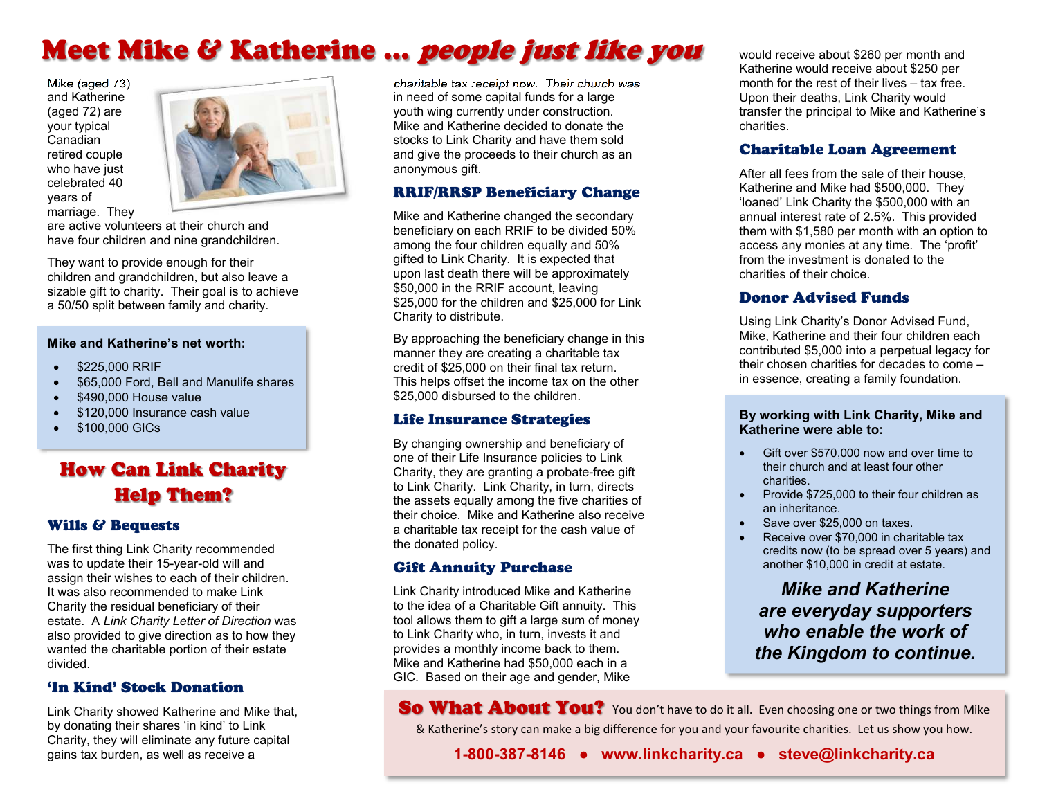# Meet Mike & Katherine ... *people just like you*

Mike (aged 73) and Katherine (aged 72) are your typical Canadian retired couple who have just celebrated 40 vears of marriage. They



are active volunteers at their church and have four children and nine grandchildren.

They want to provide enough for their children and grandchildren, but also leave a sizable gift to charity. Their goal is to achieve a 50/50 split between family and charity.

#### **Mike and Katherine's net worth:**

- \$225,000 RRIF
- \$65,000 Ford, Bell and Manulife shares
- \$490,000 House value
- \$120,000 Insurance cash value
- $$100.000$  GICs

# **How Can Link Charity Help Them?**

#### **Wills & Beauests**

The first thing Link Charity recommended was to update their 15-year-old will and assign their wishes to each of their children. It was also recommended to make Link Charity the residual beneficiary of their estate. A Link Charity Letter of Direction was also provided to give direction as to how they wanted the charitable portion of their estate divided.

#### 'In Kind' Stock Donation

Link Charity showed Katherine and Mike that, by donating their shares 'in kind' to Link Charity, they will eliminate any future capital gains tax burden, as well as receive a

charitable tax receipt now. Their church was in need of some capital funds for a large youth wing currently under construction. Mike and Katherine decided to donate the stocks to Link Charity and have them sold and give the proceeds to their church as an anonymous gift.

### **RRIF/RRSP Beneficiary Change**

Mike and Katherine changed the secondary beneficiary on each RRIF to be divided 50% among the four children equally and 50% gifted to Link Charity. It is expected that upon last death there will be approximately \$50,000 in the RRIF account, leaving \$25,000 for the children and \$25,000 for Link Charity to distribute.

By approaching the beneficiary change in this manner they are creating a charitable tax credit of \$25,000 on their final tax return. This helps offset the income tax on the other \$25,000 disbursed to the children.

#### **Life Insurance Strategies**

By changing ownership and beneficiary of one of their Life Insurance policies to Link Charity, they are granting a probate-free gift to Link Charity. Link Charity, in turn, directs the assets equally among the five charities of their choice. Mike and Katherine also receive a charitable tax receipt for the cash value of the donated policy.

### **Gift Annuity Purchase**

Link Charity introduced Mike and Katherine to the idea of a Charitable Gift annuity. This tool allows them to gift a large sum of money to Link Charity who, in turn, invests it and provides a monthly income back to them. Mike and Katherine had \$50,000 each in a GIC. Based on their age and gender, Mike

would receive about \$260 per month and Katherine would receive about \$250 per month for the rest of their lives – tax free. Upon their deaths, Link Charity would transfer the principal to Mike and Katherine's charities.

#### **Charitable Loan Agreement**

After all fees from the sale of their house, Katherine and Mike had \$500,000. They 'loaned' Link Charity the \$500,000 with an annual interest rate of 2.5%. This provided them with  $$1,580$  per month with an option to access any monies at any time. The 'profit' from the investment is donated to the charities of their choice.

#### Donor Advised Funds

Using Link Charity's Donor Advised Fund, Mike, Katherine and their four children each contributed \$5,000 into a perpetual legacy for their chosen charities for decades to come in essence, creating a family foundation.

#### **By working with Link Charity, Mike and Katherine were able to:**

- Gift over \$570,000 now and over time to their church and at least four other charities.
- Provide \$725,000 to their four children as an inheritance.
- Save over \$25,000 on taxes.
- Receive over \$70,000 in charitable tax credits now (to be spread over 5 years) and another \$10,000 in credit at estate.

*Mike and Katherine* are everyday supporters who enable the work of the Kingdom to continue.

So What About You? You don't have to do it all. Even choosing one or two things from Mike & Katherine's story can make a big difference for you and your favourite charities. Let us show you how.

**18003878146 ● www.linkcharity.ca ● steve@linkcharity.ca**